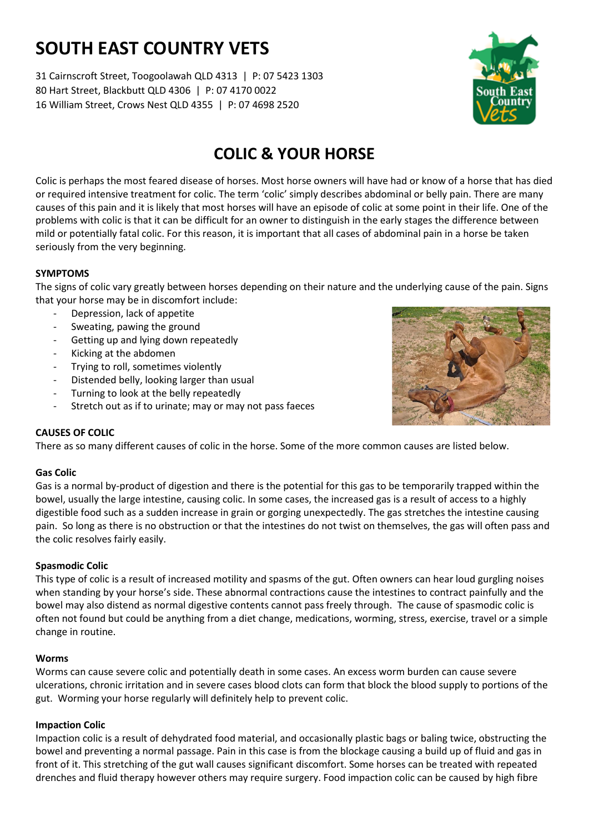# **SOUTH EAST COUNTRY VETS**

31 Cairnscroft Street, Toogoolawah QLD 4313 | P: 07 5423 1303 80 Hart Street, Blackbutt QLD 4306 | P: 07 4170 0022 16 William Street, Crows Nest QLD 4355 | P: 07 4698 2520



# **COLIC & YOUR HORSE**

Colic is perhaps the most feared disease of horses. Most horse owners will have had or know of a horse that has died or required intensive treatment for colic. The term 'colic' simply describes abdominal or belly pain. There are many causes of this pain and it is likely that most horses will have an episode of colic at some point in their life. One of the problems with colic is that it can be difficult for an owner to distinguish in the early stages the difference between mild or potentially fatal colic. For this reason, it is important that all cases of abdominal pain in a horse be taken seriously from the very beginning.

# **SYMPTOMS**

The signs of colic vary greatly between horses depending on their nature and the underlying cause of the pain. Signs that your horse may be in discomfort include:

- Depression, lack of appetite
- Sweating, pawing the ground
- Getting up and lying down repeatedly
- Kicking at the abdomen
- Trying to roll, sometimes violently
- Distended belly, looking larger than usual
- Turning to look at the belly repeatedly
- Stretch out as if to urinate; may or may not pass faeces



## **CAUSES OF COLIC**

There as so many different causes of colic in the horse. Some of the more common causes are listed below.

## **Gas Colic**

Gas is a normal by-product of digestion and there is the potential for this gas to be temporarily trapped within the bowel, usually the large intestine, causing colic. In some cases, the increased gas is a result of access to a highly digestible food such as a sudden increase in grain or gorging unexpectedly. The gas stretches the intestine causing pain. So long as there is no obstruction or that the intestines do not twist on themselves, the gas will often pass and the colic resolves fairly easily.

## **Spasmodic Colic**

This type of colic is a result of increased motility and spasms of the gut. Often owners can hear loud gurgling noises when standing by your horse's side. These abnormal contractions cause the intestines to contract painfully and the bowel may also distend as normal digestive contents cannot pass freely through. The cause of spasmodic colic is often not found but could be anything from a diet change, medications, worming, stress, exercise, travel or a simple change in routine.

## **Worms**

Worms can cause severe colic and potentially death in some cases. An excess worm burden can cause severe ulcerations, chronic irritation and in severe cases blood clots can form that block the blood supply to portions of the gut. Worming your horse regularly will definitely help to prevent colic.

## **Impaction Colic**

Impaction colic is a result of dehydrated food material, and occasionally plastic bags or baling twice, obstructing the bowel and preventing a normal passage. Pain in this case is from the blockage causing a build up of fluid and gas in front of it. This stretching of the gut wall causes significant discomfort. Some horses can be treated with repeated drenches and fluid therapy however others may require surgery. Food impaction colic can be caused by high fibre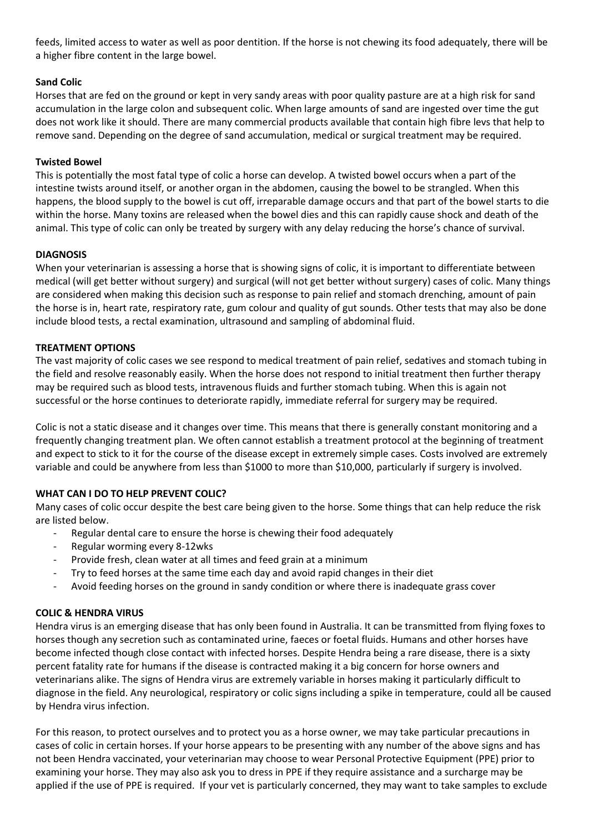feeds, limited access to water as well as poor dentition. If the horse is not chewing its food adequately, there will be a higher fibre content in the large bowel.

#### **Sand Colic**

Horses that are fed on the ground or kept in very sandy areas with poor quality pasture are at a high risk for sand accumulation in the large colon and subsequent colic. When large amounts of sand are ingested over time the gut does not work like it should. There are many commercial products available that contain high fibre levs that help to remove sand. Depending on the degree of sand accumulation, medical or surgical treatment may be required.

#### **Twisted Bowel**

This is potentially the most fatal type of colic a horse can develop. A twisted bowel occurs when a part of the intestine twists around itself, or another organ in the abdomen, causing the bowel to be strangled. When this happens, the blood supply to the bowel is cut off, irreparable damage occurs and that part of the bowel starts to die within the horse. Many toxins are released when the bowel dies and this can rapidly cause shock and death of the animal. This type of colic can only be treated by surgery with any delay reducing the horse's chance of survival.

#### **DIAGNOSIS**

When your veterinarian is assessing a horse that is showing signs of colic, it is important to differentiate between medical (will get better without surgery) and surgical (will not get better without surgery) cases of colic. Many things are considered when making this decision such as response to pain relief and stomach drenching, amount of pain the horse is in, heart rate, respiratory rate, gum colour and quality of gut sounds. Other tests that may also be done include blood tests, a rectal examination, ultrasound and sampling of abdominal fluid.

#### **TREATMENT OPTIONS**

The vast majority of colic cases we see respond to medical treatment of pain relief, sedatives and stomach tubing in the field and resolve reasonably easily. When the horse does not respond to initial treatment then further therapy may be required such as blood tests, intravenous fluids and further stomach tubing. When this is again not successful or the horse continues to deteriorate rapidly, immediate referral for surgery may be required.

Colic is not a static disease and it changes over time. This means that there is generally constant monitoring and a frequently changing treatment plan. We often cannot establish a treatment protocol at the beginning of treatment and expect to stick to it for the course of the disease except in extremely simple cases. Costs involved are extremely variable and could be anywhere from less than \$1000 to more than \$10,000, particularly if surgery is involved.

## **WHAT CAN I DO TO HELP PREVENT COLIC?**

Many cases of colic occur despite the best care being given to the horse. Some things that can help reduce the risk are listed below.

- Regular dental care to ensure the horse is chewing their food adequately
- Regular worming every 8-12wks
- Provide fresh, clean water at all times and feed grain at a minimum
- Try to feed horses at the same time each day and avoid rapid changes in their diet
- Avoid feeding horses on the ground in sandy condition or where there is inadequate grass cover

## **COLIC & HENDRA VIRUS**

Hendra virus is an emerging disease that has only been found in Australia. It can be transmitted from flying foxes to horses though any secretion such as contaminated urine, faeces or foetal fluids. Humans and other horses have become infected though close contact with infected horses. Despite Hendra being a rare disease, there is a sixty percent fatality rate for humans if the disease is contracted making it a big concern for horse owners and veterinarians alike. The signs of Hendra virus are extremely variable in horses making it particularly difficult to diagnose in the field. Any neurological, respiratory or colic signs including a spike in temperature, could all be caused by Hendra virus infection.

For this reason, to protect ourselves and to protect you as a horse owner, we may take particular precautions in cases of colic in certain horses. If your horse appears to be presenting with any number of the above signs and has not been Hendra vaccinated, your veterinarian may choose to wear Personal Protective Equipment (PPE) prior to examining your horse. They may also ask you to dress in PPE if they require assistance and a surcharge may be applied if the use of PPE is required. If your vet is particularly concerned, they may want to take samples to exclude